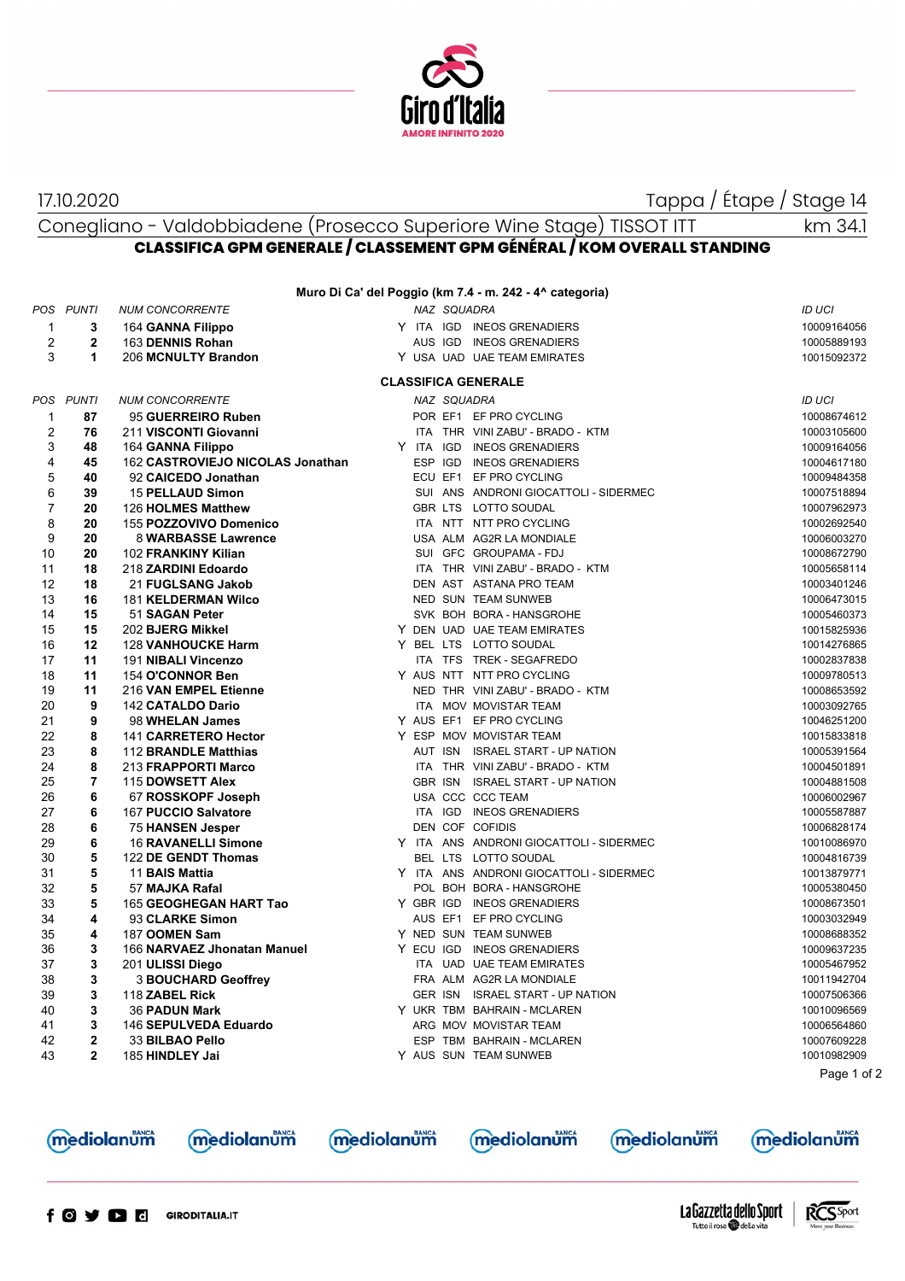

17.10.2020 Tappa / Étape / Stage 14

km 34.1

Conegliano - Valdobbiadene (Prosecco Superiore Wine Stage) TISSOT ITT **CLASSIFICA GPM GENERALE / CLASSEMENT GPM GÉNÉRAL / KOM OVERALL STANDING**

| Muro Di Ca' del Poggio (km 7.4 - m. 242 - 4^ categoria) |                |                                            |           |                |                                             |  |                            |  |  |  |  |
|---------------------------------------------------------|----------------|--------------------------------------------|-----------|----------------|---------------------------------------------|--|----------------------------|--|--|--|--|
|                                                         | POS PUNTI      | <b>NUM CONCORRENTE</b>                     |           | NAZ SQUADRA    |                                             |  | <b>ID UCI</b>              |  |  |  |  |
| $\mathbf{1}$                                            | 3              | 164 GANNA Filippo                          |           |                | Y ITA IGD INEOS GRENADIERS                  |  | 10009164056                |  |  |  |  |
| 2                                                       | 2              | 163 DENNIS Rohan                           |           |                | AUS IGD INEOS GRENADIERS                    |  | 10005889193                |  |  |  |  |
| 3                                                       | 1              | 206 MCNULTY Brandon                        |           |                | Y USA UAD UAE TEAM EMIRATES                 |  | 10015092372                |  |  |  |  |
|                                                         |                |                                            |           |                |                                             |  |                            |  |  |  |  |
|                                                         |                |                                            |           |                | <b>CLASSIFICA GENERALE</b>                  |  |                            |  |  |  |  |
|                                                         | POS PUNTI      | <b>NUM CONCORRENTE</b>                     |           | NAZ SQUADRA    |                                             |  | <b>ID UCI</b>              |  |  |  |  |
| $\mathbf 1$                                             | 87             | 95 GUERREIRO Ruben                         |           |                | POR EF1 EF PRO CYCLING                      |  | 10008674612                |  |  |  |  |
| $\overline{\mathbf{c}}$                                 | 76             | 211 VISCONTI Giovanni                      |           |                | ITA THR VINI ZABU' - BRADO - KTM            |  | 10003105600                |  |  |  |  |
| 3                                                       | 48             | 164 GANNA Filippo                          | Y ITA IGD |                | <b>INEOS GRENADIERS</b>                     |  | 10009164056                |  |  |  |  |
| 4                                                       | 45             | 162 CASTROVIEJO NICOLAS Jonathan           |           | ESP IGD        | <b>INEOS GRENADIERS</b>                     |  | 10004617180                |  |  |  |  |
| 5                                                       | 40             | 92 CAICEDO Jonathan                        |           |                | ECU EF1 EF PRO CYCLING                      |  | 10009484358                |  |  |  |  |
| 6                                                       | 39             | <b>15 PELLAUD Simon</b>                    |           |                | SUI ANS ANDRONI GIOCATTOLI - SIDERMEC       |  | 10007518894                |  |  |  |  |
| 7                                                       | 20             | 126 HOLMES Matthew                         |           |                | GBR LTS LOTTO SOUDAL                        |  | 10007962973                |  |  |  |  |
| 8                                                       | 20             | 155 POZZOVIVO Domenico                     |           |                | ITA NTT NTT PRO CYCLING                     |  | 10002692540                |  |  |  |  |
| 9                                                       | 20             | 8 WARBASSE Lawrence                        |           |                | USA ALM AG2R LA MONDIALE                    |  | 10006003270                |  |  |  |  |
| 10                                                      | 20             | 102 FRANKINY Kilian                        |           |                | SUI GFC GROUPAMA - FDJ                      |  | 10008672790                |  |  |  |  |
| 11                                                      | 18             | 218 ZARDINI Edoardo                        |           |                | ITA THR VINI ZABU' - BRADO - KTM            |  | 10005658114                |  |  |  |  |
| 12                                                      | 18             | 21 FUGLSANG Jakob                          |           |                | DEN AST ASTANA PRO TEAM                     |  | 10003401246                |  |  |  |  |
| 13                                                      | 16             | <b>181 KELDERMAN Wilco</b>                 |           |                | NED SUN TEAM SUNWEB                         |  | 10006473015                |  |  |  |  |
| 14                                                      | 15             | 51 SAGAN Peter                             |           |                | SVK BOH BORA - HANSGROHE                    |  | 10005460373                |  |  |  |  |
| 15                                                      | 15             | 202 BJERG Mikkel                           |           |                | Y DEN UAD UAE TEAM EMIRATES                 |  | 10015825936                |  |  |  |  |
| 16                                                      | 12             | <b>128 VANHOUCKE Harm</b>                  |           |                | Y BEL LTS LOTTO SOUDAL                      |  | 10014276865                |  |  |  |  |
| 17                                                      | 11             | 191 NIBALI Vincenzo                        |           |                | ITA TFS TREK - SEGAFREDO                    |  | 10002837838                |  |  |  |  |
| 18                                                      | 11             | 154 O'CONNOR Ben                           |           |                | Y AUS NTT NTT PRO CYCLING                   |  | 10009780513                |  |  |  |  |
| 19                                                      | 11             | 216 VAN EMPEL Etienne                      |           |                | NED THR VINI ZABU' - BRADO - KTM            |  | 10008653592                |  |  |  |  |
| 20                                                      | 9              | <b>142 CATALDO Dario</b>                   |           |                | ITA MOV MOVISTAR TEAM                       |  | 10003092765                |  |  |  |  |
| 21                                                      | 9              | 98 WHELAN James                            |           |                | Y AUS EF1 EF PRO CYCLING                    |  | 10046251200                |  |  |  |  |
| 22                                                      | 8              | 141 CARRETERO Hector                       |           |                | Y ESP MOV MOVISTAR TEAM                     |  | 10015833818                |  |  |  |  |
| 23<br>24                                                | 8<br>8         | 112 BRANDLE Matthias                       |           | AUT ISN        | <b>ISRAEL START - UP NATION</b>             |  | 10005391564                |  |  |  |  |
|                                                         | 7              | 213 FRAPPORTI Marco                        |           | <b>GBR ISN</b> | ITA THR VINI ZABU' - BRADO - KTM            |  | 10004501891                |  |  |  |  |
| 25<br>26                                                | 6              | 115 DOWSETT Alex                           |           |                | <b>ISRAEL START - UP NATION</b>             |  | 10004881508                |  |  |  |  |
| 27                                                      | 6              | 67 ROSSKOPF Joseph<br>167 PUCCIO Salvatore |           | ITA IGD        | USA CCC CCC TEAM<br><b>INEOS GRENADIERS</b> |  | 10006002967<br>10005587887 |  |  |  |  |
| 28                                                      | 6              | 75 HANSEN Jesper                           |           |                | DEN COF COFIDIS                             |  | 10006828174                |  |  |  |  |
| 29                                                      | 6              | <b>16 RAVANELLI Simone</b>                 |           |                | Y ITA ANS ANDRONI GIOCATTOLI - SIDERMEC     |  | 10010086970                |  |  |  |  |
| 30                                                      | 5              | 122 DE GENDT Thomas                        |           |                | BEL LTS LOTTO SOUDAL                        |  | 10004816739                |  |  |  |  |
| 31                                                      | 5              | 11 BAIS Mattia                             |           |                | Y ITA ANS ANDRONI GIOCATTOLI - SIDERMEC     |  | 10013879771                |  |  |  |  |
| 32                                                      | 5              | 57 MAJKA Rafal                             |           |                | POL BOH BORA - HANSGROHE                    |  | 10005380450                |  |  |  |  |
| 33                                                      | 5              | 165 GEOGHEGAN HART Tao                     | Y GBR IGD |                | <b>INEOS GRENADIERS</b>                     |  | 10008673501                |  |  |  |  |
| 34                                                      | 4              | 93 CLARKE Simon                            |           |                | AUS EF1 EF PRO CYCLING                      |  | 10003032949                |  |  |  |  |
| 35                                                      | 4              | 187 OOMEN Sam                              |           |                | Y NED SUN TEAM SUNWEB                       |  | 10008688352                |  |  |  |  |
| 36                                                      | 3              | 166 NARVAEZ Jhonatan Manuel                |           |                | Y ECU IGD INEOS GRENADIERS                  |  | 10009637235                |  |  |  |  |
| 37                                                      | 3              | 201 ULISSI Diego                           |           |                | ITA UAD UAE TEAM EMIRATES                   |  | 10005467952                |  |  |  |  |
| 38                                                      | 3              | <b>3 BOUCHARD Geoffrey</b>                 |           |                | FRA ALM AG2R LA MONDIALE                    |  | 10011942704                |  |  |  |  |
| 39                                                      | 3              | 118 ZABEL Rick                             |           |                | GER ISN ISRAEL START - UP NATION            |  | 10007506366                |  |  |  |  |
| 40                                                      | 3              | 36 PADUN Mark                              |           |                | Y UKR TBM BAHRAIN - MCLAREN                 |  | 10010096569                |  |  |  |  |
| 41                                                      | 3              | 146 SEPULVEDA Eduardo                      |           |                | ARG MOV MOVISTAR TEAM                       |  | 10006564860                |  |  |  |  |
| 42                                                      | 2              | 33 BILBAO Pello                            |           |                | ESP TBM BAHRAIN - MCLAREN                   |  | 10007609228                |  |  |  |  |
| 43                                                      | $\overline{2}$ | 185 HINDLEY Jai                            |           |                | Y AUS SUN TEAM SUNWEB                       |  | 10010982909                |  |  |  |  |
|                                                         |                |                                            |           |                |                                             |  | Page 1 of 2                |  |  |  |  |

mediolanum



mediolanum

**mediolanum** 

**mediolanum** 

**mediolanum**